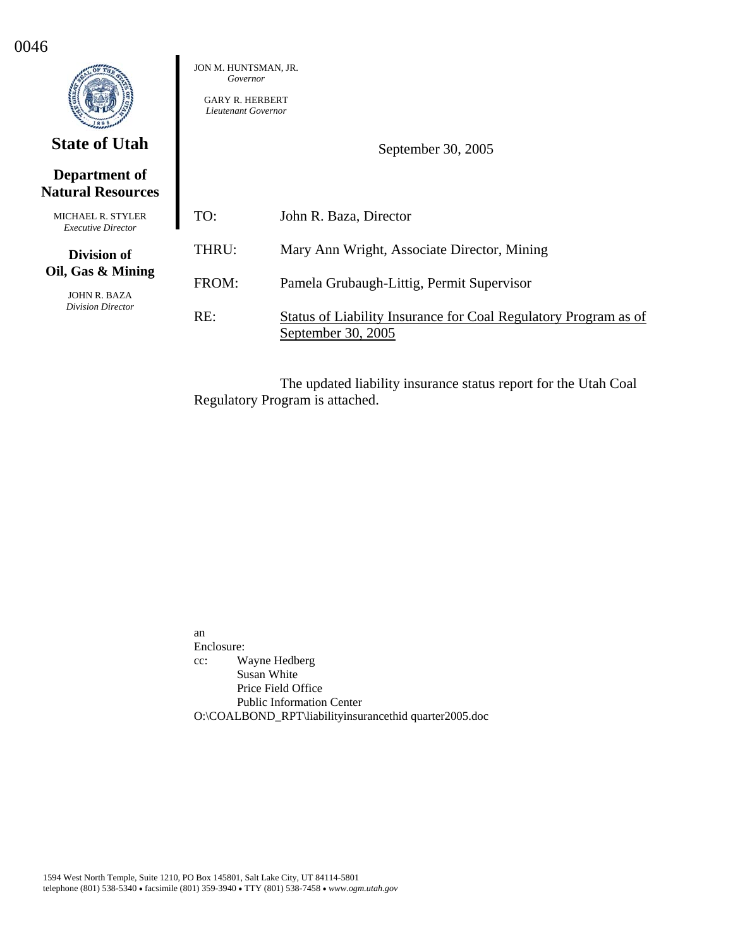|                                                       | JON M. HUNTSMAN, JR.<br>Governor<br><b>GARY R. HERBERT</b><br>Lieutenant Governor |                                                                                       |
|-------------------------------------------------------|-----------------------------------------------------------------------------------|---------------------------------------------------------------------------------------|
| <b>State of Utah</b>                                  |                                                                                   | September 30, 2005                                                                    |
| Department of<br><b>Natural Resources</b>             |                                                                                   |                                                                                       |
| <b>MICHAEL R. STYLER</b><br><b>Executive Director</b> | TO:                                                                               | John R. Baza, Director                                                                |
| Division of                                           | THRU:                                                                             | Mary Ann Wright, Associate Director, Mining                                           |
| Oil, Gas & Mining<br>JOHN R. BAZA                     | FROM:                                                                             | Pamela Grubaugh-Littig, Permit Supervisor                                             |
| <b>Division Director</b>                              | RE:                                                                               | Status of Liability Insurance for Coal Regulatory Program as of<br>September 30, 2005 |

0046

The updated liability insurance status report for the Utah Coal Regulatory Program is attached.

an Enclosure: cc: Wayne Hedberg Susan White Price Field Office Public Information Center O:\COALBOND\_RPT\liabilityinsurancethid quarter2005.doc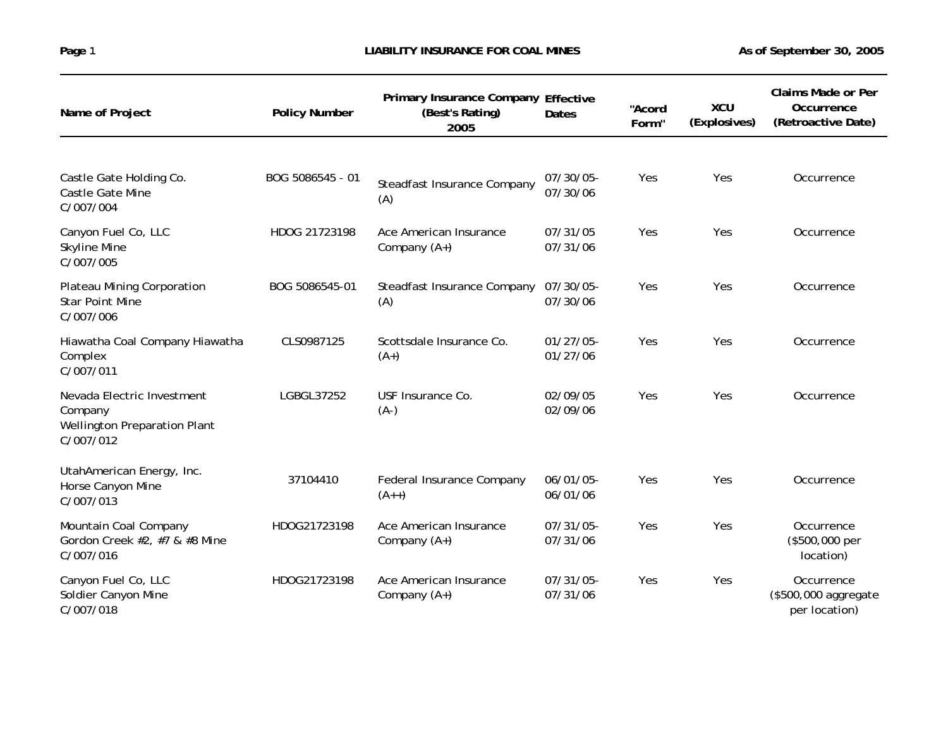| Name of Project                                                                           | <b>Policy Number</b> | Primary Insurance Company Effective<br>(Best's Rating)<br>2005 | Dates                    | "Acord<br>Form" | <b>XCU</b><br>(Explosives) | <b>Claims Made or Per</b><br>Occurrence<br>(Retroactive Date) |
|-------------------------------------------------------------------------------------------|----------------------|----------------------------------------------------------------|--------------------------|-----------------|----------------------------|---------------------------------------------------------------|
|                                                                                           |                      |                                                                |                          |                 |                            |                                                               |
| Castle Gate Holding Co.<br>Castle Gate Mine<br>C/007/004                                  | BOG 5086545 - 01     | Steadfast Insurance Company<br>(A)                             | 07/30/05-<br>07/30/06    | Yes             | Yes                        | Occurrence                                                    |
| Canyon Fuel Co, LLC<br><b>Skyline Mine</b><br>C/007/005                                   | HDOG 21723198        | Ace American Insurance<br>Company $(A+)$                       | 07/31/05<br>07/31/06     | Yes             | Yes                        | Occurrence                                                    |
| <b>Plateau Mining Corporation</b><br><b>Star Point Mine</b><br>C/007/006                  | BOG 5086545-01       | Steadfast Insurance Company<br>(A)                             | 07/30/05-<br>07/30/06    | Yes             | Yes                        | Occurrence                                                    |
| Hiawatha Coal Company Hiawatha<br>Complex<br>C/007/011                                    | CLS0987125           | Scottsdale Insurance Co.<br>$(A+)$                             | $01/27/05$ -<br>01/27/06 | Yes             | Yes                        | Occurrence                                                    |
| Nevada Electric Investment<br>Company<br><b>Wellington Preparation Plant</b><br>C/007/012 | LGBGL37252           | USF Insurance Co.<br>$(A-)$                                    | 02/09/05<br>02/09/06     | Yes             | Yes                        | Occurrence                                                    |
| UtahAmerican Energy, Inc.<br>Horse Canyon Mine<br>C/007/013                               | 37104410             | Federal Insurance Company<br>$(A++)$                           | $06/01/05$ -<br>06/01/06 | Yes             | Yes                        | Occurrence                                                    |
| Mountain Coal Company<br>Gordon Creek #2, #7 & #8 Mine<br>C/007/016                       | HDOG21723198         | Ace American Insurance<br>Company $(A+)$                       | 07/31/05-<br>07/31/06    | Yes             | Yes                        | Occurrence<br>(\$500,000 per<br>location)                     |
| Canyon Fuel Co, LLC<br>Soldier Canyon Mine<br>C/007/018                                   | HDOG21723198         | Ace American Insurance<br>Company $(A+)$                       | 07/31/05-<br>07/31/06    | Yes             | Yes                        | Occurrence<br>(\$500,000 aggregate<br>per location)           |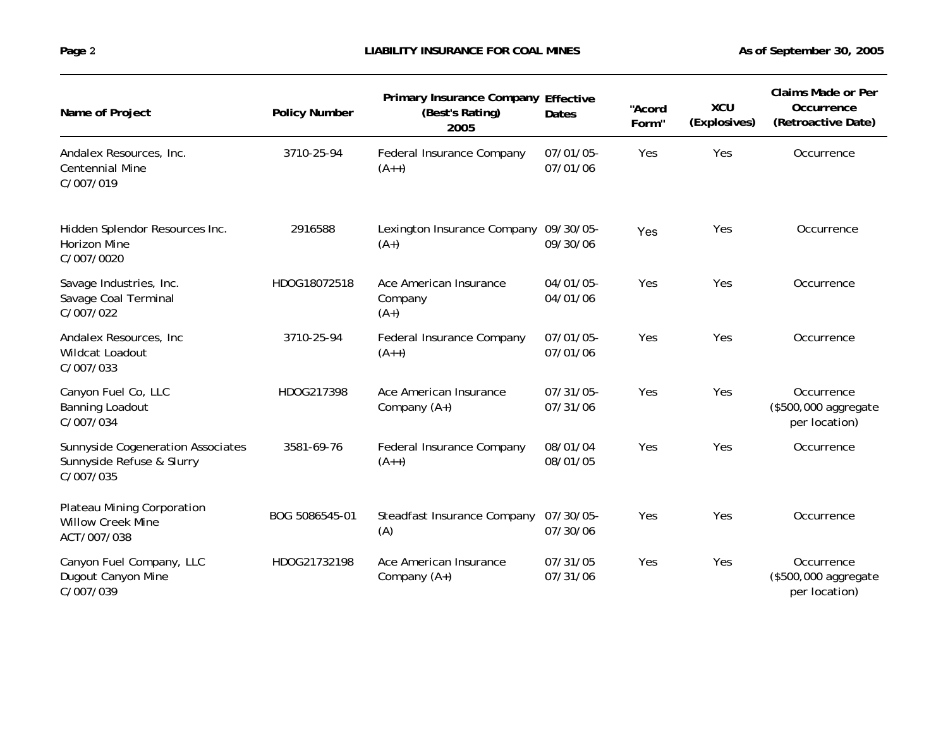| Name of Project                                                             | <b>Policy Number</b> | Primary Insurance Company Effective<br>(Best's Rating)<br>2005 | Dates                    | "Acord<br>Form" | <b>XCU</b><br>(Explosives) | Claims Made or Per<br>Occurrence<br>(Retroactive Date) |
|-----------------------------------------------------------------------------|----------------------|----------------------------------------------------------------|--------------------------|-----------------|----------------------------|--------------------------------------------------------|
| Andalex Resources, Inc.<br><b>Centennial Mine</b><br>C/007/019              | 3710-25-94           | Federal Insurance Company<br>$(A++)$                           | 07/01/05-<br>07/01/06    | Yes             | Yes                        | Occurrence                                             |
| Hidden Splendor Resources Inc.<br><b>Horizon Mine</b><br>C/007/0020         | 2916588              | Lexington Insurance Company 09/30/05-<br>$(A+)$                | 09/30/06                 | Yes             | Yes                        | Occurrence                                             |
| Savage Industries, Inc.<br>Savage Coal Terminal<br>C/007/022                | HDOG18072518         | Ace American Insurance<br>Company<br>$(A+)$                    | $04/01/05$ -<br>04/01/06 | Yes             | Yes                        | Occurrence                                             |
| Andalex Resources, Inc.<br>Wildcat Loadout<br>C/007/033                     | 3710-25-94           | Federal Insurance Company<br>$(A++)$                           | 07/01/05-<br>07/01/06    | Yes             | Yes                        | Occurrence                                             |
| Canyon Fuel Co, LLC<br><b>Banning Loadout</b><br>C/007/034                  | HDOG217398           | Ace American Insurance<br>Company $(A+)$                       | 07/31/05-<br>07/31/06    | Yes             | Yes                        | Occurrence<br>(\$500,000 aggregate<br>per location)    |
| Sunnyside Cogeneration Associates<br>Sunnyside Refuse & Slurry<br>C/007/035 | 3581-69-76           | Federal Insurance Company<br>$(A++)$                           | 08/01/04<br>08/01/05     | Yes             | Yes                        | Occurrence                                             |
| Plateau Mining Corporation<br><b>Willow Creek Mine</b><br>ACT/007/038       | BOG 5086545-01       | Steadfast Insurance Company<br>(A)                             | 07/30/05-<br>07/30/06    | Yes             | Yes                        | Occurrence                                             |
| Canyon Fuel Company, LLC<br>Dugout Canyon Mine<br>C/007/039                 | HDOG21732198         | Ace American Insurance<br>Company (A+)                         | 07/31/05<br>07/31/06     | Yes             | Yes                        | Occurrence<br>(\$500,000 aggregate<br>per location)    |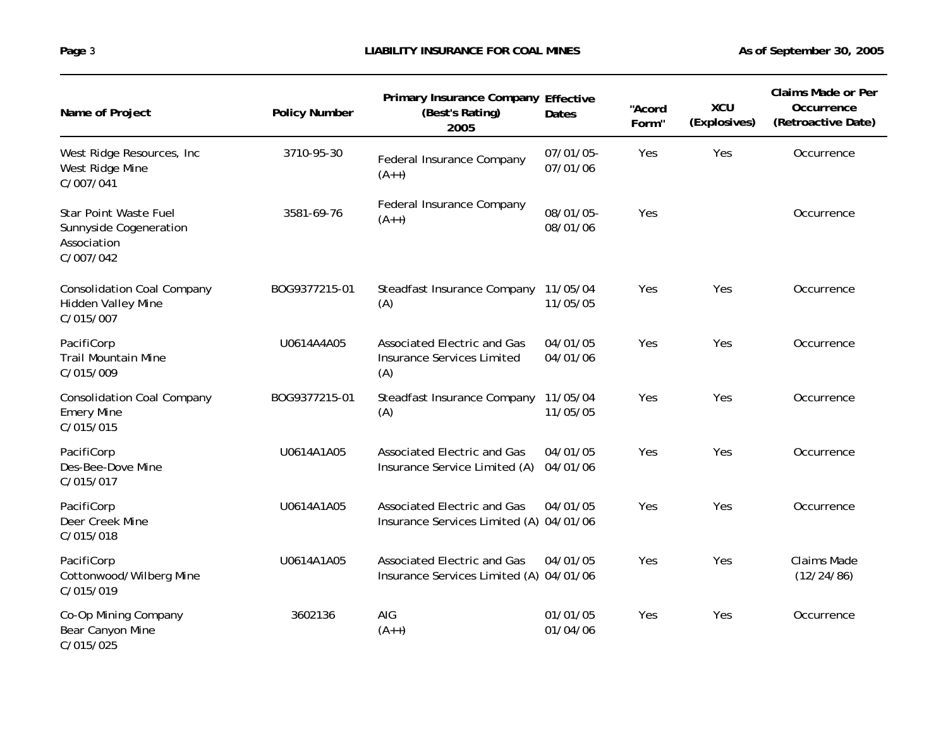| Name of Project                                                             | <b>Policy Number</b> | Primary Insurance Company Effective<br>(Best's Rating)<br>2005                 | Dates                 | "Acord<br>Form" | <b>XCU</b><br>(Explosives) | <b>Claims Made or Per</b><br>Occurrence<br>(Retroactive Date) |
|-----------------------------------------------------------------------------|----------------------|--------------------------------------------------------------------------------|-----------------------|-----------------|----------------------------|---------------------------------------------------------------|
| West Ridge Resources, Inc.<br>West Ridge Mine<br>C/007/041                  | 3710-95-30           | Federal Insurance Company<br>$(A++)$                                           | 07/01/05-<br>07/01/06 | Yes             | Yes                        | Occurrence                                                    |
| Star Point Waste Fuel<br>Sunnyside Cogeneration<br>Association<br>C/007/042 | 3581-69-76           | Federal Insurance Company<br>$(A++)$                                           | 08/01/05-<br>08/01/06 | Yes             |                            | Occurrence                                                    |
| <b>Consolidation Coal Company</b><br>Hidden Valley Mine<br>C/015/007        | BOG9377215-01        | Steadfast Insurance Company<br>(A)                                             | 11/05/04<br>11/05/05  | Yes             | Yes                        | Occurrence                                                    |
| PacifiCorp<br><b>Trail Mountain Mine</b><br>C/015/009                       | U0614A4A05           | <b>Associated Electric and Gas</b><br><b>Insurance Services Limited</b><br>(A) | 04/01/05<br>04/01/06  | Yes             | Yes                        | Occurrence                                                    |
| <b>Consolidation Coal Company</b><br><b>Emery Mine</b><br>C/015/015         | BOG9377215-01        | Steadfast Insurance Company<br>(A)                                             | 11/05/04<br>11/05/05  | Yes             | Yes                        | Occurrence                                                    |
| PacifiCorp<br>Des-Bee-Dove Mine<br>C/015/017                                | U0614A1A05           | <b>Associated Electric and Gas</b><br>Insurance Service Limited (A)            | 04/01/05<br>04/01/06  | Yes             | Yes                        | Occurrence                                                    |
| PacifiCorp<br>Deer Creek Mine<br>C/015/018                                  | U0614A1A05           | <b>Associated Electric and Gas</b><br>Insurance Services Limited (A) 04/01/06  | 04/01/05              | Yes             | Yes                        | Occurrence                                                    |
| PacifiCorp<br>Cottonwood/Wilberg Mine<br>C/015/019                          | U0614A1A05           | Associated Electric and Gas<br>Insurance Services Limited (A) 04/01/06         | 04/01/05              | Yes             | Yes                        | <b>Claims Made</b><br>(12/24/86)                              |
| Co-Op Mining Company<br>Bear Canyon Mine<br>C/015/025                       | 3602136              | AIG<br>$(A++)$                                                                 | 01/01/05<br>01/04/06  | Yes             | Yes                        | Occurrence                                                    |